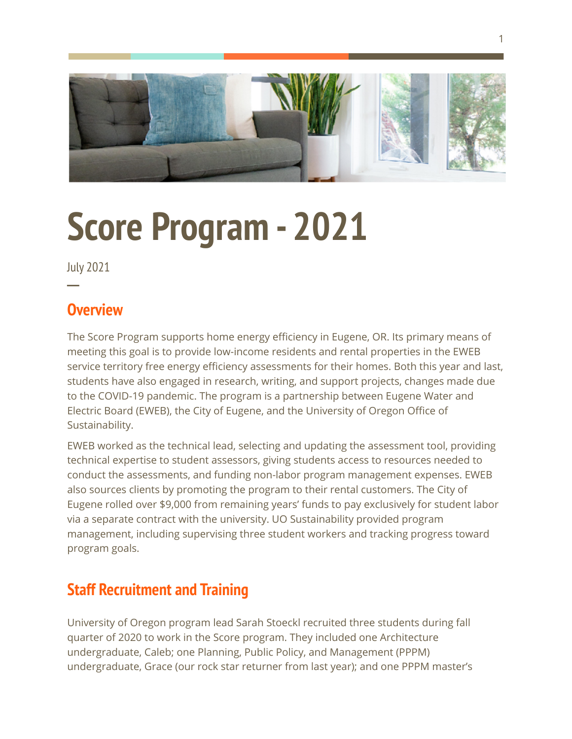

# **Score Program- 2021**

July 2021

**─**

## **Overview**

The Score Program supports home energy efficiency in Eugene, OR. Its primary means of meeting this goal is to provide low-income residents and rental properties in the EWEB service territory free energy efficiency assessments for their homes. Both this year and last, students have also engaged in research, writing, and support projects, changes made due to the COVID-19 pandemic. The program is a partnership between Eugene Water and Electric Board (EWEB), the City of Eugene, and the University of Oregon Office of Sustainability.

EWEB worked as the technical lead, selecting and updating the assessment tool, providing technical expertise to student assessors, giving students access to resources needed to conduct the assessments, and funding non-labor program management expenses. EWEB also sources clients by promoting the program to their rental customers. The City of Eugene rolled over \$9,000 from remaining years' funds to pay exclusively for student labor via a separate contract with the university. UO Sustainability provided program management, including supervising three student workers and tracking progress toward program goals.

## **Staff Recruitment and Training**

University of Oregon program lead Sarah Stoeckl recruited three students during fall quarter of 2020 to work in the Score program. They included one Architecture undergraduate, Caleb; one Planning, Public Policy, and Management (PPPM) undergraduate, Grace (our rock star returner from last year); and one PPPM master's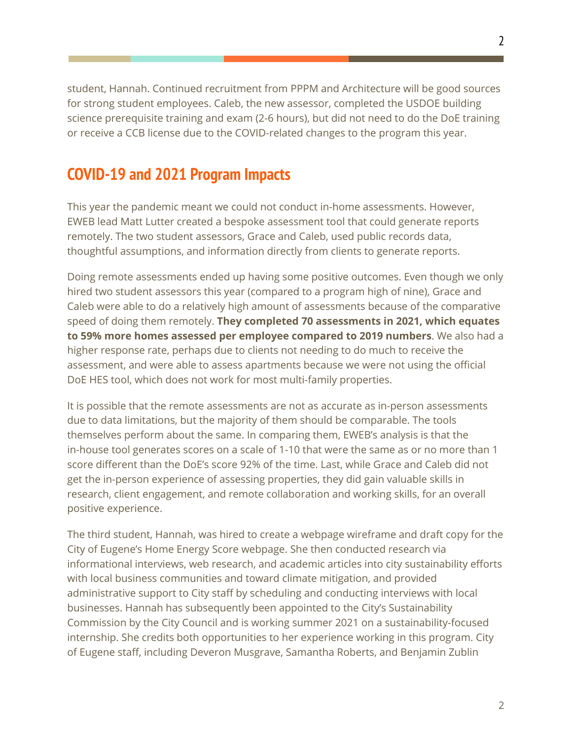student, Hannah. Continued recruitment from PPPM and Architecture will be good sources for strong student employees. Caleb, the new assessor, completed the USDOE building science prerequisite training and exam (2-6 hours), but did not need to do the DoE training or receive a CCB license due to the COVID-related changes to the program this year.

## **COVID-19 and 2021 Program Impacts**

This year the pandemic meant we could not conduct in-home assessments. However, EWEB lead Matt Lutter created a bespoke assessment tool that could generate reports remotely. The two student assessors, Grace and Caleb, used public records data, thoughtful assumptions, and information directly from clients to generate reports.

Doing remote assessments ended up having some positive outcomes. Even though we only hired two student assessors this year (compared to a program high of nine), Grace and Caleb were able to do a relatively high amount of assessments because of the comparative speed of doing them remotely. **They completed 70 assessments in 2021, which equates to 59% more homes assessed per employee compared to 2019 numbers**. We also had a higher response rate, perhaps due to clients not needing to do much to receive the assessment, and were able to assess apartments because we were not using the official DoE HES tool, which does not work for most multi-family properties.

It is possible that the remote assessments are not as accurate as in-person assessments due to data limitations, but the majority of them should be comparable. The tools themselves perform about the same. In comparing them, EWEB's analysis is that the in-house tool generates scores on a scale of 1-10 that were the same as or no more than 1 score different than the DoE's score 92% of the time. Last, while Grace and Caleb did not get the in-person experience of assessing properties, they did gain valuable skills in research, client engagement, and remote collaboration and working skills, for an overall positive experience.

The third student, Hannah, was hired to create a webpage wireframe and draft copy for the City of Eugene's Home Energy Score webpage. She then conducted research via informational interviews, web research, and academic articles into city sustainability efforts with local business communities and toward climate mitigation, and provided administrative support to City staff by scheduling and conducting interviews with local businesses. Hannah has subsequently been appointed to the City's Sustainability Commission by the City Council and is working summer 2021 on a sustainability-focused internship. She credits both opportunities to her experience working in this program. City of Eugene staff, including Deveron Musgrave, Samantha Roberts, and Benjamin Zublin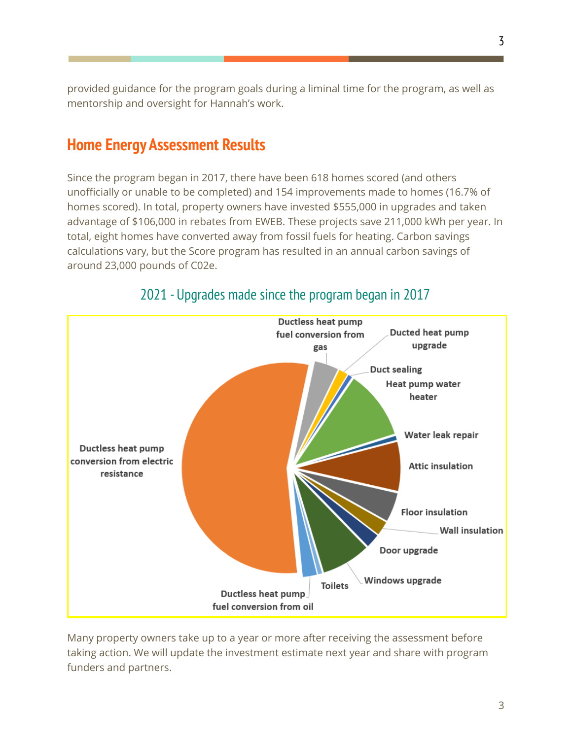provided guidance for the program goals during a liminal time for the program, as well as mentorship and oversight for Hannah's work.

#### **Home Energy Assessment Results**

Since the program began in 2017, there have been 618 homes scored (and others unofficially or unable to be completed) and 154 improvements made to homes (16.7% of homes scored). In total, property owners have invested \$555,000 in upgrades and taken advantage of \$106,000 in rebates from EWEB. These projects save 211,000 kWh per year. In total, eight homes have converted away from fossil fuels for heating. Carbon savings calculations vary, but the Score program has resulted in an annual carbon savings of around 23,000 pounds of C02e.



#### 2021 - Upgrades made since the program began in 2017

Many property owners take up to a year or more after receiving the assessment before taking action. We will update the investment estimate next year and share with program funders and partners.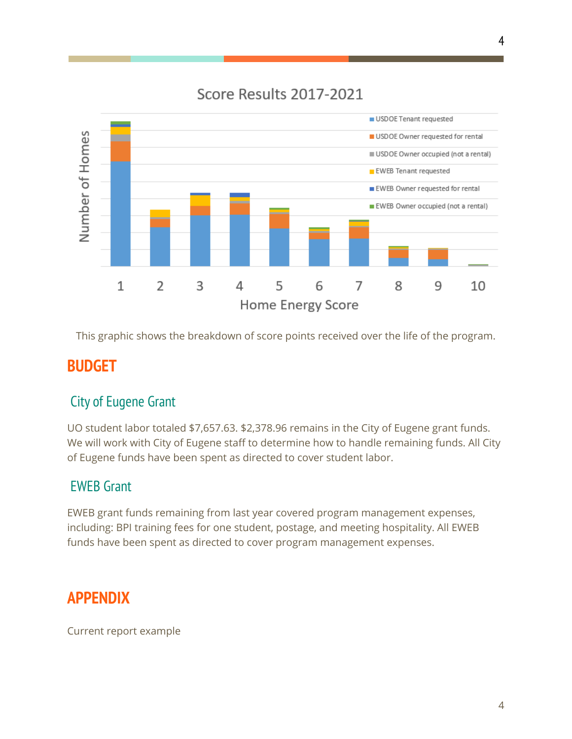#### Score Results 2017-2021



This graphic shows the breakdown of score points received over the life of the program.

## **BUDGET**

## City of Eugene Grant

UO student labor totaled \$7,657.63. \$2,378.96 remains in the City of Eugene grant funds. We will work with City of Eugene staff to determine how to handle remaining funds. All City of Eugene funds have been spent as directed to cover student labor.

#### EWEB Grant

EWEB grant funds remaining from last year covered program management expenses, including: BPI training fees for one student, postage, and meeting hospitality. All EWEB funds have been spent as directed to cover program management expenses.

## **APPENDIX**

Current report example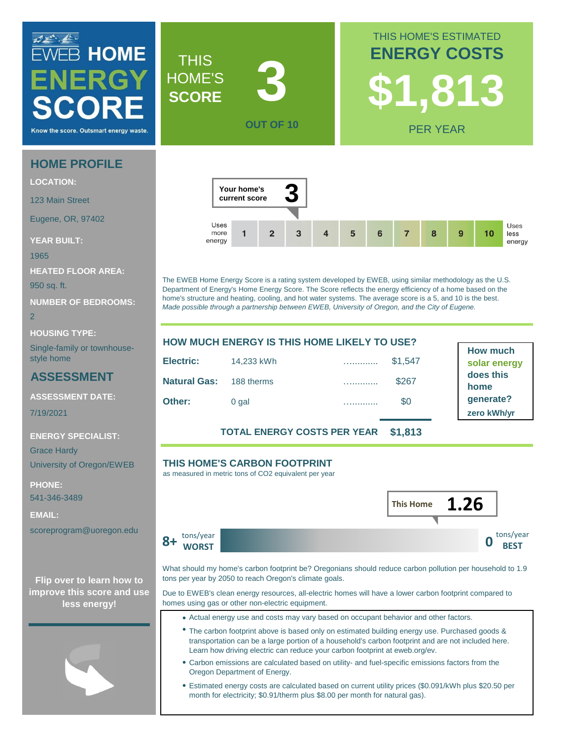## **ZEREE**<br>EWEB HOME ENERGY Know the score. Outsmart energy wast

#### **HOME PROFILE**

**LOCATION:**

123 Main Street

Eugene, OR, 97402

**YEAR BUILT:**

1965

**HEATED FLOOR AREA:**

950 sq. ft.

**NUMBER OF BEDROOMS:**

2

**HOUSING TYPE:**

Single-family or townhousestyle home

#### **ASSESSMENT**

**ASSESSMENT DATE:**

7/19/2021

**ENERGY SPECIALIST:**

Grace Hardy University of Oregon/EWEB

**PHONE:** 541-346-3489

**EMAIL:**

scoreprogram@uoregon.edu

**improve this score and use less energy!**



The EWEB Home Energy Score is a rating system developed by EWEB, using similar methodology as the U.S. Department of Energy's Home Energy Score. The Score reflects the energy efficiency of a home based on the home's structure and heating, cooling, and hot water systems. The average score is a 5, and 10 is the best. *Made possible through a partnership between EWEB, University of Oregon, and the City of Eugene.*

| <b>HOW MUCH ENERGY IS THIS HOME LIKELY TO USE?</b> |            |  |         |  |
|----------------------------------------------------|------------|--|---------|--|
| Electric:                                          | 14,233 kWh |  | \$1,547 |  |
| <b>Natural Gas:</b> 188 therms                     |            |  | \$267   |  |
| Other:                                             | 0 gal      |  | \$0     |  |
|                                                    |            |  |         |  |

**How much solar energy does this home generate? zero kWh/yr**

**TOTAL ENERGY COSTS PER YEAR \$1,813**

#### **THIS HOME'S CARBON FOOTPRINT**

as measured in metric tons of CO2 equivalent per year



**ENERGY COSTS**

THIS HOME'S ESTIMATED

**\$1,813**

PER YEAR

**8+ WORST DESCRIPTION CONTRACT DESCRIPTION** tons/year **WORST**

**THIS** HOME'S **SCORE**

**3**

**OUT OF 10**



What should my home's carbon footprint be? Oregonians should reduce carbon pollution per household to 1.9 **Flip over to learn how to** tons per year by 2050 to reach Oregon's climate goals.

> Due to EWEB's clean energy resources, all-electric homes will have a lower carbon footprint compared to homes using gas or other non-electric equipment.

- Actual energy use and costs may vary based on occupant behavior and other factors.
- The carbon footprint above is based only on estimated building energy use. Purchased goods & transportation can be a large portion of a household's carbon footprint and are not included here. Learn how driving electric can reduce your carbon footprint at eweb.org/ev.
- Carbon emissions are calculated based on utility- and fuel-specific emissions factors from the Oregon Department of Energy.
- Estimated energy costs are calculated based on current utility prices (\$0.091/kWh plus \$20.50 per month for electricity; \$0.91/therm plus \$8.00 per month for natural gas).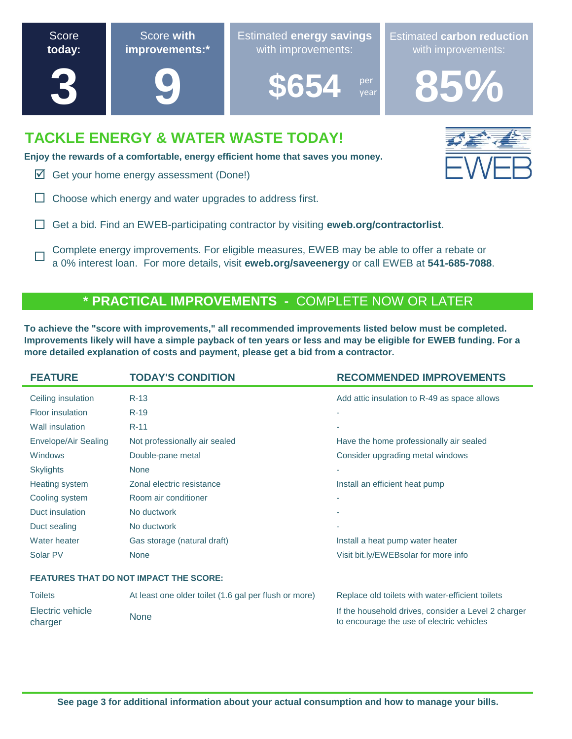

**Enjoy the rewards of a comfortable, energy efficient home that saves you money.**

 $\triangledown$  Get your home energy assessment (Done!)

 $\Box$ 

- $\Box$  Choose which energy and water upgrades to address first.
- Get a bid. Find an EWEB-participating contractor by visiting **eweb.org/contractorlist**.

Complete energy improvements. For eligible measures, EWEB may be able to offer a rebate or a 0% interest loan. For more details, visit **eweb.org/saveenergy** or call EWEB at **541-685-7088**.

#### **\* PRACTICAL IMPROVEMENTS -** COMPLETE NOW OR LATER

**To achieve the "score with improvements," all recommended improvements listed below must be completed. Improvements likely will have a simple payback of ten years or less and may be eligible for EWEB funding. For a more detailed explanation of costs and payment, please get a bid from a contractor.**

| <b>FEATURE</b>                                | <b>TODAY'S CONDITION</b>                              | <b>RECOMMENDED IMPROVEMENTS</b>                                                                  |  |  |
|-----------------------------------------------|-------------------------------------------------------|--------------------------------------------------------------------------------------------------|--|--|
| Ceiling insulation                            | $R-13$                                                | Add attic insulation to R-49 as space allows                                                     |  |  |
| Floor insulation                              | $R-19$                                                | ٠                                                                                                |  |  |
| Wall insulation                               | $R-11$                                                | ٠                                                                                                |  |  |
| Envelope/Air Sealing                          | Not professionally air sealed                         | Have the home professionally air sealed                                                          |  |  |
| Windows                                       | Double-pane metal                                     | Consider upgrading metal windows                                                                 |  |  |
| <b>Skylights</b>                              | <b>None</b>                                           | ٠                                                                                                |  |  |
| Heating system                                | Zonal electric resistance                             | Install an efficient heat pump                                                                   |  |  |
| Cooling system                                | Room air conditioner                                  | ٠                                                                                                |  |  |
| Duct insulation                               | No ductwork                                           | ٠                                                                                                |  |  |
| Duct sealing                                  | No ductwork                                           | ٠                                                                                                |  |  |
| Water heater                                  | Gas storage (natural draft)                           | Install a heat pump water heater                                                                 |  |  |
| Solar PV                                      | <b>None</b>                                           | Visit bit.ly/EWEBsolar for more info                                                             |  |  |
| <b>FEATURES THAT DO NOT IMPACT THE SCORE:</b> |                                                       |                                                                                                  |  |  |
| <b>Toilets</b>                                | At least one older toilet (1.6 gal per flush or more) | Replace old toilets with water-efficient toilets                                                 |  |  |
| Electric vehicle<br>charger                   | <b>None</b>                                           | If the household drives, consider a Level 2 charger<br>to encourage the use of electric vehicles |  |  |